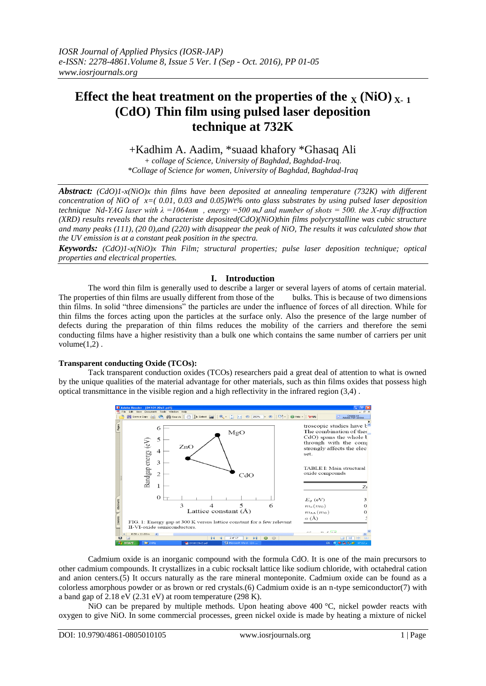# **Effect the heat treatment on the properties of the**  $\chi$  **(NiO)** $\chi$ **-1 (CdO) Thin film using pulsed laser deposition technique at 732K**

## +Kadhim A. Aadim, \*suaad khafory \*Ghasaq Ali

*+ collage of Science, University of Baghdad, Baghdad-Iraq. \*Collage of Science for women, University of Baghdad, Baghdad-Iraq*

*Abstract: (CdO)1-x(NiO)x thin films have been deposited at annealing temperature (732K) with different concentration of NiO of x=( 0.01, 0.03 and 0.05)Wt% onto glass substrates by using pulsed laser deposition technique Nd-YAG laser with λ =1064nm , energy =500 mJ and number of shots = 500. the X-ray diffraction (XRD) results reveals that the characteriste deposited(CdO)(NiO)thin films polycrystalline was cubic structure and many peaks (111), (20 0),and (220) with disappear the peak of NiO, The results it was calculated show that the UV emission is at a constant peak position in the spectra.* 

*Keywords: (CdO)1-x(NiO)x Thin Film; structural properties; pulse laser deposition technique; optical properties and electrical properties.*

### **I. Introduction**

The word thin film is generally used to describe a larger or several layers of atoms of certain material. The properties of thin films are usually different from those of the bulks. This is because of two dimensions thin films. In solid "three dimensions" the particles are under the influence of forces of all direction. While for thin films the forces acting upon the particles at the surface only. Also the presence of the large number of defects during the preparation of thin films reduces the mobility of the carriers and therefore the semi conducting films have a higher resistivity than a bulk one which contains the same number of carriers per unit volume $(1,2)$ .

### **Transparent conducting Oxide (TCOs):**

Tack transparent conduction oxides (TCOs) researchers paid a great deal of attention to what is owned by the unique qualities of the material advantage for other materials, such as thin films oxides that possess high optical transmittance in the visible region and a high reflectivity in the infrared region (3,4) .



Cadmium oxide is an inorganic compound with the formula CdO. It is one of the main precursors to other cadmium compounds. It crystallizes in a cubic rocksalt lattice like sodium chloride, with octahedral cation and anion centers.(5) It occurs naturally as the rare mineral monteponite. Cadmium oxide can be found as a colorless amorphous powder or as brown or red crystals.(6) Cadmium oxide is an n-type semiconductor(7) with a band gap of 2.18 eV (2.31 eV) at room temperature (298 K).

NiO can be prepared by multiple methods. Upon heating above 400 °C, nickel powder reacts with oxygen to give NiO. In some commercial processes, green nickel oxide is made by heating a mixture of nickel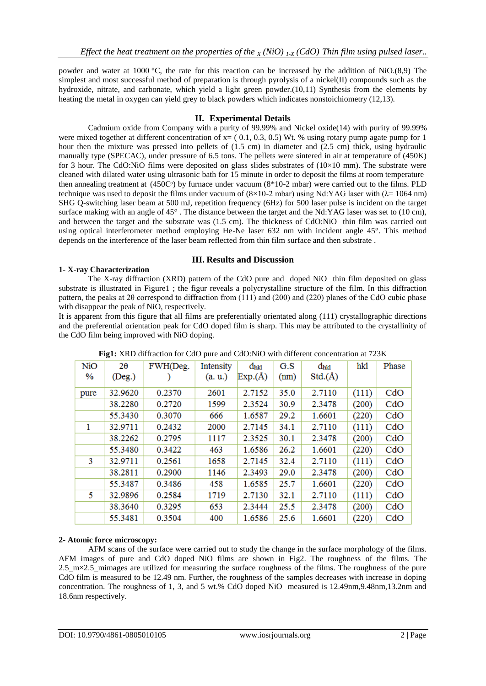powder and water at 1000 °C, the rate for this reaction can be increased by the addition of NiO.(8,9) The simplest and most successful method of preparation is through pyrolysis of a nickel(II) compounds such as the hydroxide, nitrate, and carbonate, which yield a light green powder.(10,11) Synthesis from the elements by heating the metal in oxygen can yield grey to black powders which indicates nonstoichiometry (12,13).

### **II. Experimental Details**

Cadmium oxide from Company with a purity of 99.99% and Nickel oxide(14) with purity of 99.99% were mixed together at different concentration of  $x = (0.1, 0.3, 0.5)$  Wt. % using rotary pump agate pump for 1 hour then the mixture was pressed into pellets of (1.5 cm) in diameter and (2.5 cm) thick, using hydraulic manually type (SPECAC), under pressure of 6.5 tons. The pellets were sintered in air at temperature of (450K) for 3 hour. The CdO:NiO films were deposited on glass slides substrates of  $(10\times10$  mm). The substrate were cleaned with dilated water using ultrasonic bath for 15 minute in order to deposit the films at room temperature then annealing treatment at  $(450C<sup>o</sup>)$  by furnace under vacuum  $(8*10-2 \text{ mbar})$  were carried out to the films. PLD technique was used to deposit the films under vacuum of  $(8\times10-2 \text{ mbar})$  using Nd:YAG laser with  $(\lambda=1064 \text{ nm})$ SHG Q-switching laser beam at 500 mJ, repetition frequency (6Hz) for 500 laser pulse is incident on the target surface making with an angle of 45° . The distance between the target and the Nd:YAG laser was set to (10 cm), and between the target and the substrate was (1.5 cm). The thickness of CdO:NiO thin film was carried out using optical interferometer method employing He-Ne laser 632 nm with incident angle 45°. This method depends on the interference of the laser beam reflected from thin film surface and then substrate .

#### **III. Results and Discussion**

#### **1- X-ray Characterization**

The X-ray diffraction (XRD) pattern of the CdO pure and doped NiO thin film deposited on glass substrate is illustrated in Figure1 ; the figur reveals a polycrystalline structure of the film. In this diffraction pattern, the peaks at 2θ correspond to diffraction from (111) and (200) and (220) planes of the CdO cubic phase with disappear the peak of NiO, respectively.

It is apparent from this figure that all films are preferentially orientated along (111) crystallographic directions and the preferential orientation peak for CdO doped film is sharp. This may be attributed to the crystallinity of the CdO film being improved with NiO doping.

| <b>NiO</b> | $2\theta$    | FWH(Deg. | Intensity | dhki   | G.S  | dhki   | hkl   | Phase |
|------------|--------------|----------|-----------|--------|------|--------|-------|-------|
| $\%$       | $($ Deg. $)$ |          | (a, u)    | Exp(A) | (nm) | Std(A) |       |       |
| pure       | 32.9620      | 0.2370   | 2601      | 2.7152 | 35.0 | 2.7110 | (111) | CdO   |
|            | 38.2280      | 0.2720   | 1599      | 2.3524 | 30.9 | 2.3478 | (200) | CdO   |
|            | 55.3430      | 0.3070   | 666       | 1.6587 | 29.2 | 1.6601 | (220) | CdO   |
| 1          | 32.9711      | 0.2432   | 2000      | 2.7145 | 34.1 | 2.7110 | (111) | CdO   |
|            | 38.2262      | 0.2795   | 1117      | 2.3525 | 30.1 | 2.3478 | (200) | CdO   |
|            | 55.3480      | 0.3422   | 463       | 1.6586 | 26.2 | 1.6601 | (220) | CdO   |
| 3          | 32.9711      | 0.2561   | 1658      | 2.7145 | 32.4 | 2.7110 | (111) | CdO   |
|            | 38.2811      | 0.2900   | 1146      | 2.3493 | 29.0 | 2.3478 | (200) | CdO   |
|            | 55.3487      | 0.3486   | 458       | 1.6585 | 25.7 | 1.6601 | (220) | CdO   |
| 5          | 32.9896      | 0.2584   | 1719      | 2.7130 | 32.1 | 2.7110 | (111) | CdO   |
|            | 38.3640      | 0.3295   | 653       | 2.3444 | 25.5 | 2.3478 | (200) | CdO   |
|            | 55.3481      | 0.3504   | 400       | 1.6586 | 25.6 | 1.6601 | (220) | CdO   |

**Fig1:** XRD diffraction for CdO pure and CdO:NiO with different concentration at 723K

### **2- Atomic force microscopy:**

AFM scans of the surface were carried out to study the change in the surface morphology of the films. AFM images of pure and CdO doped NiO films are shown in Fig2. The roughness of the films. The 2.5\_m×2.5\_mimages are utilized for measuring the surface roughness of the films. The roughness of the pure CdO film is measured to be 12.49 nm. Further, the roughness of the samples decreases with increase in doping concentration. The roughness of 1, 3, and 5 wt.% CdO doped NiO measured is 12.49nm,9.48nm,13.2nm and 18.6nm respectively.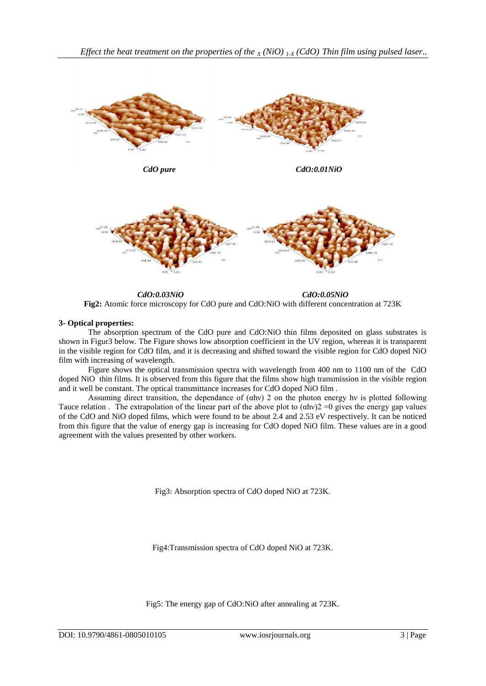

*CdO:0.03NiO CdO:0.05NiO* **Fig2:** Atomic force microscopy for CdO pure and CdO:NiO with different concentration at 723K

### **3- Optical properties:**

The absorption spectrum of the CdO pure and CdO:NiO thin films deposited on glass substrates is shown in Figur3 below. The Figure shows low absorption coefficient in the UV region, whereas it is transparent in the visible region for CdO film, and it is decreasing and shifted toward the visible region for CdO doped NiO film with increasing of wavelength.

Figure shows the optical transmission spectra with wavelength from 400 nm to 1100 nm of the CdO doped NiO thin films. It is observed from this figure that the films show high transmission in the visible region and it well be constant. The optical transmittance increases for CdO doped NiO film .

Assuming direct transition, the dependance of  $(αhv)$  2 on the photon energy hv is plotted following Tauce relation. The extrapolation of the linear part of the above plot to  $(\alpha hv)2 = 0$  gives the energy gap values of the CdO and NiO doped films, which were found to be about 2.4 and 2.53 eV respectively. It can be noticed from this figure that the value of energy gap is increasing for CdO doped NiO film. These values are in a good agreement with the values presented by other workers.

Fig3: Absorption spectra of CdO doped NiO at 723K.

Fig4:Transmission spectra of CdO doped NiO at 723K.

Fig5: The energy gap of CdO:NiO after annealing at 723K.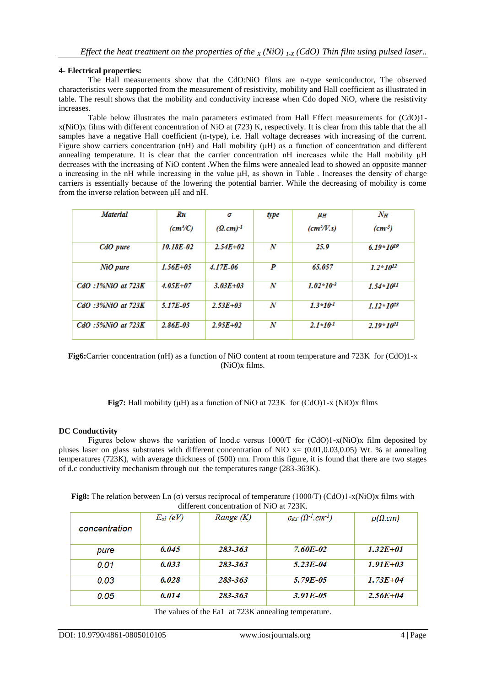#### **4- Electrical properties:**

The Hall measurements show that the CdO:NiO films are n-type semiconductor, The observed characteristics were supported from the measurement of resistivity, mobility and Hall coefficient as illustrated in table. The result shows that the mobility and conductivity increase when Cdo doped NiO, where the resistivity increases.

Table below illustrates the main parameters estimated from Hall Effect measurements for (CdO)1 x(NiO)x films with different concentration of NiO at (723) K, respectively. It is clear from this table that the all samples have a negative Hall coefficient (n-type), i.e. Hall voltage decreases with increasing of the current. Figure show carriers concentration (nH) and Hall mobility (μH) as a function of concentration and different annealing temperature. It is clear that the carrier concentration nH increases while the Hall mobility μH decreases with the increasing of NiO content .When the films were annealed lead to showed an opposite manner a increasing in the nH while increasing in the value μH, as shown in Table . Increases the density of charge carriers is essentially because of the lowering the potential barrier. While the decreasing of mobility is come from the inverse relation between μH and nH.

| <b>Material</b>         | Rн                            | σ              | type             | μн                                     | $N_H$               |
|-------------------------|-------------------------------|----------------|------------------|----------------------------------------|---------------------|
|                         | $\left(\frac{cm^3}{C}\right)$ | $(Q, cm)^{-1}$ |                  | $\left(\frac{cm^2}{V}.\text{s}\right)$ | (cm <sup>-3</sup> ) |
| CdO pure                | 10.18E-02                     | $2.54E + 02$   | N                | 25.9                                   | 6.19 * $10^{19}$    |
| NiO pure                | $1.56E + 0.5$                 | $4.17E-06$     | P                | 65.057                                 | $1.2*10^{12}$       |
| $CdO$ :1% $NiO$ at 723K | $4.05E + 07$                  | $3.03E + 03$   | N                | $1.02*10-3$                            | $1.54*10^{11}$      |
| $CdO$ :3% $NiO$ at 723K | 5.17E-05                      | $2.53E + 03$   | $\boldsymbol{N}$ | $1.3*10-1$                             | $1.12*10^{23}$      |
| $CdO$ :5% $NiO$ at 723K | $2.86E - 03$                  | $2.95E + 02$   | N                | $2.1*10-1$                             | $2.19*10^{21}$      |

**Fig6:**Carrier concentration (nH) as a function of NiO content at room temperature and 723K for (CdO)1-x (NiO)x films.

**Fig7:** Hall mobility (μH) as a function of NiO at 723K for (CdO)1-x (NiO)x films

### **DC Conductivity**

Figures below shows the variation of lnσd.c versus 1000/T for (CdO)1-x(NiO)x film deposited by pluses laser on glass substrates with different concentration of NiO  $x=(0.01,0.03,0.05)$  Wt. % at annealing temperatures (723K), with average thickness of (500) nm. From this figure, it is found that there are two stages of d.c conductivity mechanism through out the temperatures range (283-363K).

**Fig8:** The relation between Ln (σ) versus reciprocal of temperature (1000/T) (CdO)1-x(NiO)x films with different concentration of NiO at 723K.

| concentration | $E_{al}$ (eV) | Range $(K)$ | $\sigma_{RT}(\Omega^{-1}.cm^{-1})$ | $\rho(\Omega, cm)$ |
|---------------|---------------|-------------|------------------------------------|--------------------|
| pure          | 0.045         | 283-363     | 7.60E-02                           | $1.32E + 01$       |
| 0.01          | 0.033         | 283-363     | 5.23E-04                           | $1.91E + 0.3$      |
| 0.03          | 0.028         | 283-363     | 5.79E-05                           | $1.73E + 04$       |
| 0.05          | 0.014         | 283-363     | 3.91E-05                           | $2.56E + 04$       |

The values of the Ea1 at 723K annealing temperature.